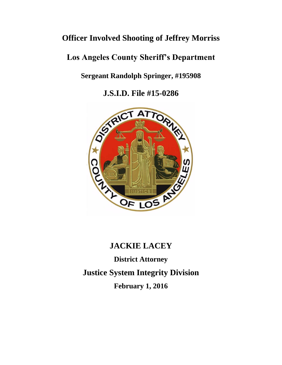## **Officer Involved Shooting of Jeffrey Morriss**

# **Los Angeles County Sheriff's Department**

**Sergeant Randolph Springer, #195908**

**J.S.I.D. File #15-0286**



## **JACKIE LACEY**

**District Attorney Justice System Integrity Division February 1, 2016**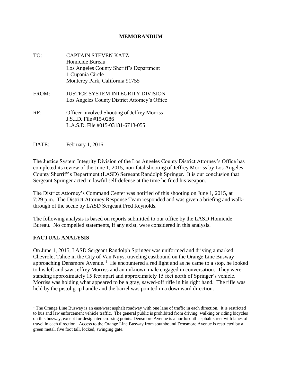#### **MEMORANDUM**

- TO: CAPTAIN STEVEN KATZ Homicide Bureau Los Angeles County Sheriff's Department 1 Cupania Circle Monterey Park, California 91755 FROM: JUSTICE SYSTEM INTEGRITY DIVISION Los Angeles County District Attorney's Office RE: Officer Involved Shooting of Jeffrey Morriss J.S.I.D. File #15-0286 L.A.S.D. File #015-03181-6713-055
- DATE: February 1, 2016

The Justice System Integrity Division of the Los Angeles County District Attorney's Office has completed its review of the June 1, 2015, non-fatal shooting of Jeffrey Morriss by Los Angeles County Sherriff's Department (LASD) Sergeant Randolph Springer. It is our conclusion that Sergeant Springer acted in lawful self-defense at the time he fired his weapon.

The District Attorney's Command Center was notified of this shooting on June 1, 2015, at 7:29 p.m. The District Attorney Response Team responded and was given a briefing and walkthrough of the scene by LASD Sergeant Fred Reynolds.

The following analysis is based on reports submitted to our office by the LASD Homicide Bureau. No compelled statements, if any exist, were considered in this analysis.

#### **FACTUAL ANALYSIS**

 $\overline{a}$ 

On June 1, 2015, LASD Sergeant Randolph Springer was uniformed and driving a marked Chevrolet Tahoe in the City of Van Nuys, traveling eastbound on the Orange Line Busway approaching Densmore Avenue.<sup>1</sup> He encountered a red light and as he came to a stop, he looked to his left and saw Jeffrey Morriss and an unknown male engaged in conversation. They were standing approximately 15 feet apart and approximately 15 feet north of Springer's vehicle. Morriss was holding what appeared to be a gray, sawed-off rifle in his right hand. The rifle was held by the pistol grip handle and the barrel was pointed in a downward direction.

<sup>&</sup>lt;sup>1</sup> The Orange Line Busway is an east/west asphalt roadway with one lane of traffic in each direction. It is restricted to bus and law enforcement vehicle traffic. The general public is prohibited from driving, walking or riding bicycles on this busway, except for designated crossing points. Densmore Avenue is a north/south asphalt street with lanes of travel in each direction. Access to the Orange Line Busway from southbound Densmore Avenue is restricted by a green metal, five foot tall, locked, swinging gate.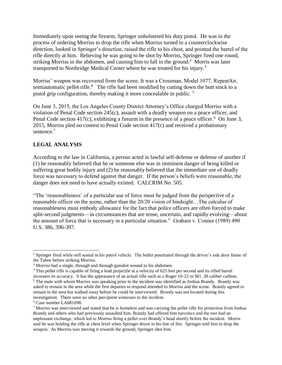Immediately upon seeing the firearm, Springer unholstered his duty pistol. He was in the process of ordering Morriss to drop the rifle when Morriss turned in a counterclockwise direction, looked in Springer's direction, raised the rifle to his chest, and pointed the barrel of the rifle directly at him. Believing he was going to be shot by Morriss, Springer fired one round, striking Morriss in the abdomen, and causing him to fall to the ground.<sup>2</sup> Morris was later transported to Northridge Medical Center where he was treated for his injury.<sup>3</sup>

Morriss' weapon was recovered from the scene. It was a Crossman, Model 1077, RepeatAir, semiautomatic pellet rifle. $4$  The rifle had been modified by cutting down the butt stock to a pistol grip configuration, thereby making it more concealable in public.<sup>5</sup>

On June 3, 2015, the Los Angeles County District Attorney's Office charged Morriss with a violation of Penal Code section 245(c), assault with a deadly weapon on a peace officer, and Penal Code section  $417(c)$ , exhibiting a firearm in the presence of a peace officer.<sup>6</sup> On June 3, 2015, Morriss pled no contest to Penal Code section 417(c) and received a probationary sentence.<sup>7</sup>

### **LEGAL ANALYSIS**

According to the law in California, a person acted in lawful self-defense or defense of another if (1) he reasonably believed that he or someone else was in imminent danger of being killed or suffering great bodily injury and (2) he reasonably believed that the immediate use of deadly force was necessary to defend against that danger. If the person's beliefs were reasonable, the danger does not need to have actually existed. CALCRIM No. 505.

"The 'reasonableness' of a particular use of force must be judged from the perspective of a reasonable officer on the scene, rather than the 20/20 vision of hindsight…The calculus of reasonableness must embody allowance for the fact that police officers are often forced to make split-second judgments—in circumstances that are tense, uncertain, and rapidly evolving—about the amount of force that is necessary in a particular situation." Graham v. Conner (1989) 490 U.S. 386, 396-397.

l <sup>2</sup> Springer fired while still seated in his patrol vehicle. The bullet penetrated through the driver's side door frame of the Tahoe before striking Morriss.

<sup>&</sup>lt;sup>3</sup> Morriss had a single, through and through gunshot wound to his abdomen.

<sup>4</sup> This pellet rifle is capable of firing a lead projectile at a velocity of 625 feet per second and its rifled barrel

increases its accuracy. It has the appearance of an actual rifle such as a Ruger 10-22 or M1 .30 caliber carbine.

<sup>&</sup>lt;sup>5</sup> The male with whom Morriss was speaking prior to the incident was identified as Joshua Brandy. Brandy was asked to remain in the area while the first deputies to respond attended to Morriss and the scene. Brandy agreed to remain in the area but walked away before he could be interviewed. Brandy was not located during this investigation. There were no other percipient witnesses to the incident.

<sup>6</sup> Case number LA081098.

<sup>7</sup> Morriss was interviewed and stated that he is homeless and was carrying the pellet rifle for protection from Joshua Brandy and others who had previously assaulted him. Brandy had offered him narcotics and the two had an unpleasant exchange, which led to Morriss firing a pellet over Brandy's head shortly before the incident. Morris said he was holding the rifle at chest level when Springer drove in his line of fire. Springer told him to drop the weapon. As Morriss was moving it towards the ground, Springer shot him.